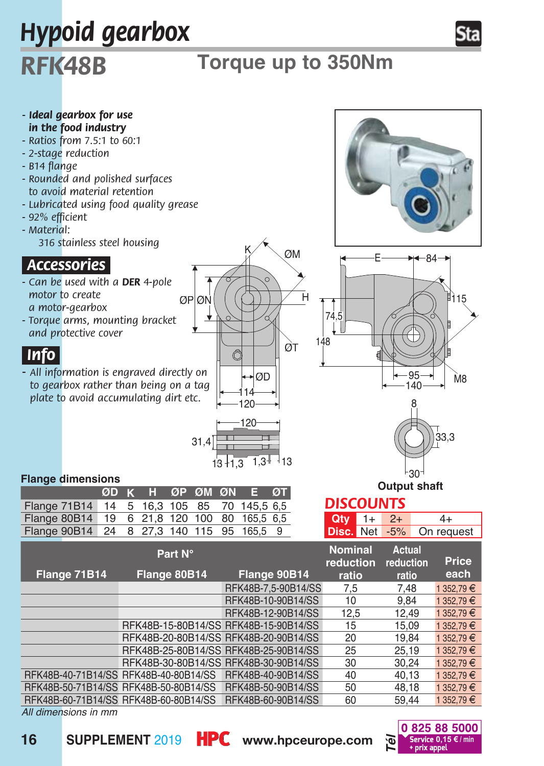

*All dimensions in mm*